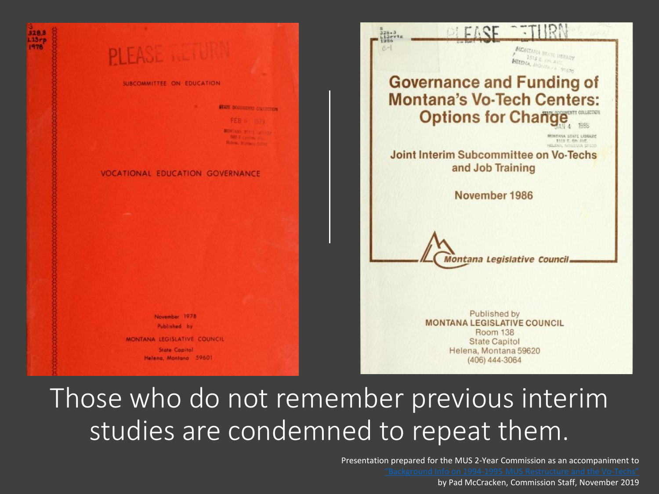

# Those who do not remember previous interim studies are condemned to repeat them.

Presentation prepared for the MUS 2-Year Commission as an accompaniment to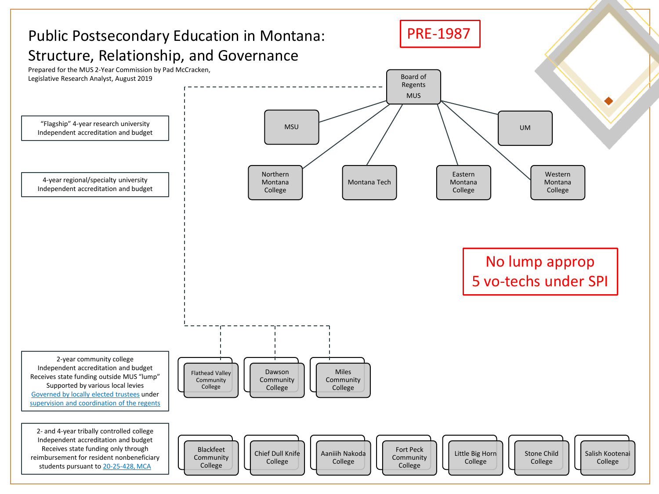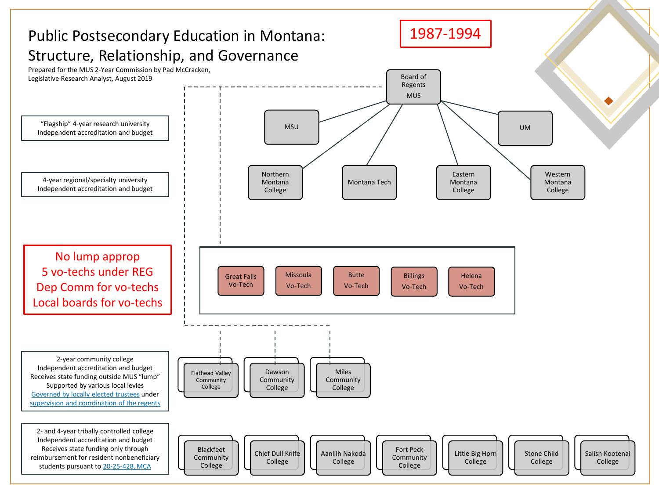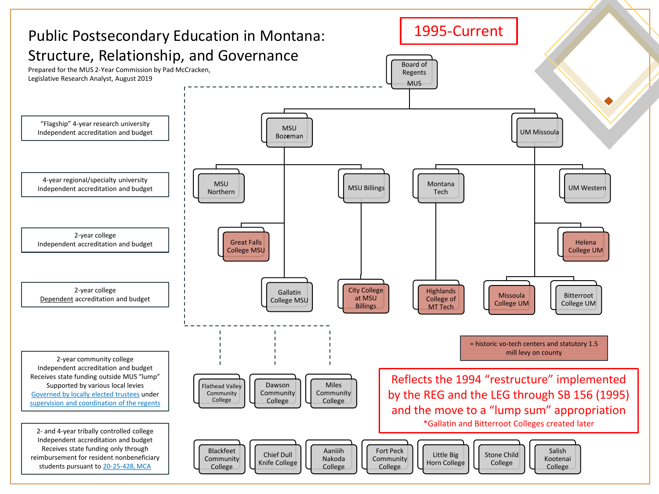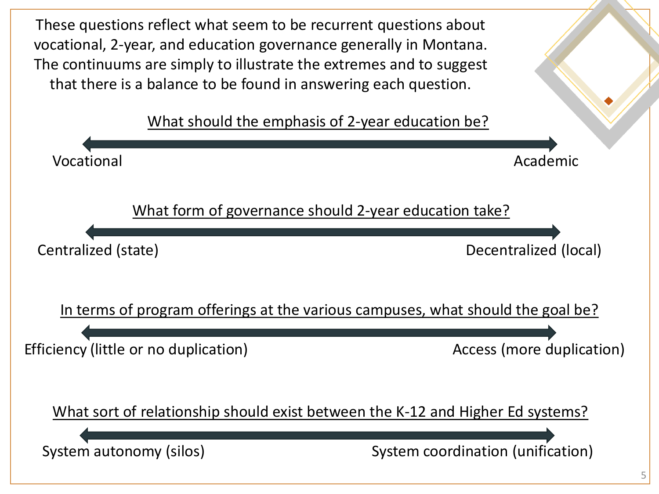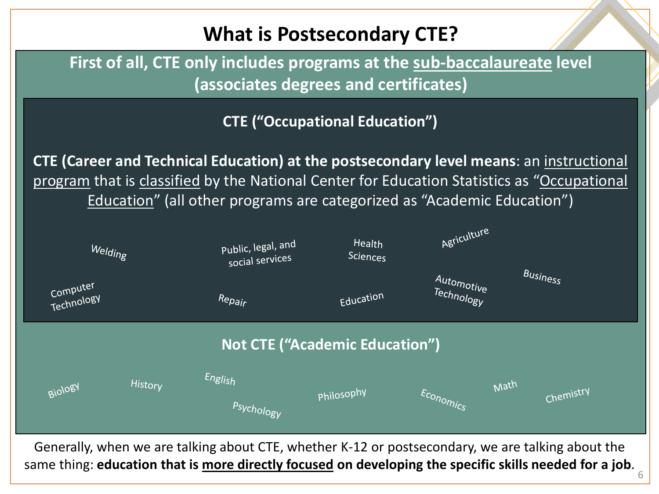

Generally, when we are talking about CTE, whether K-12 or postsecondary, we are talking about the same thing: **education that is more directly focused on developing the specific skills needed for a job**.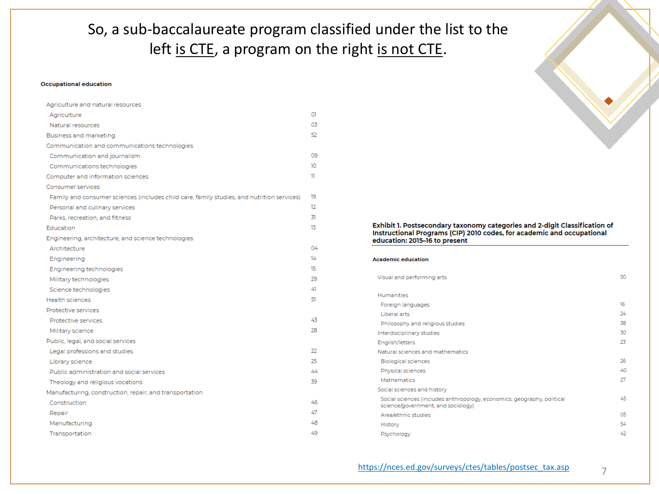So, a sub-baccalaureate program classified under the list to the left is CTE, a program on the right is not CTE.

#### **Occupational education**

| Agriculture and natural resources                                                          |     |
|--------------------------------------------------------------------------------------------|-----|
| Agriculture                                                                                | O1  |
| Natural resources                                                                          | 03  |
| Business and marketing                                                                     | 52  |
| Communication and communications technologies                                              |     |
| Communication and journalism                                                               | 09  |
| Communications technologies                                                                | 10  |
| Computer and information sciences                                                          | n   |
| Consumer services                                                                          |     |
| Family and consumer sciences (includes child care, family studies, and nutrition services) | 19  |
| Personal and culinary services                                                             | 12  |
| Parks, recreation, and fitness                                                             | 31  |
| Education                                                                                  | 13  |
| Engineering, architecture, and science technologies                                        |     |
| Architecture                                                                               | 04  |
| Engineering                                                                                | 14  |
| Engineering technologies                                                                   | 15  |
| Military technologies                                                                      | 29  |
| Science technologies                                                                       | 41  |
| <b>Health sciences</b>                                                                     | 51  |
| Protective services                                                                        |     |
| Protective services                                                                        | 43  |
| Military science                                                                           | 28. |
| Public, legal, and social services                                                         |     |
| Legal professions and studies                                                              | 22  |
| Library science                                                                            | 25  |
| Public administration and social services                                                  | 44  |
| Theology and religious vocations                                                           | 39  |
| Manufacturing, construction, repair, and transportation                                    |     |
| Construction                                                                               | 46  |
| Repair                                                                                     | 47  |
| Manufacturing                                                                              | 48  |
| Transportation                                                                             | 49  |

#### Exhibit 1. Postsecondary taxonomy categories and 2-digit Classification of Instructional Programs (CIP) 2010 codes, for academic and occupational education: 2015-16 to present

**Academic education** 

| 50 |
|----|
|    |
|    |
| 16 |
| 24 |
| 38 |
| 30 |
| 23 |
|    |
| 26 |
| 40 |
| 27 |
|    |
| 45 |
| 05 |
| 54 |
| 42 |
|    |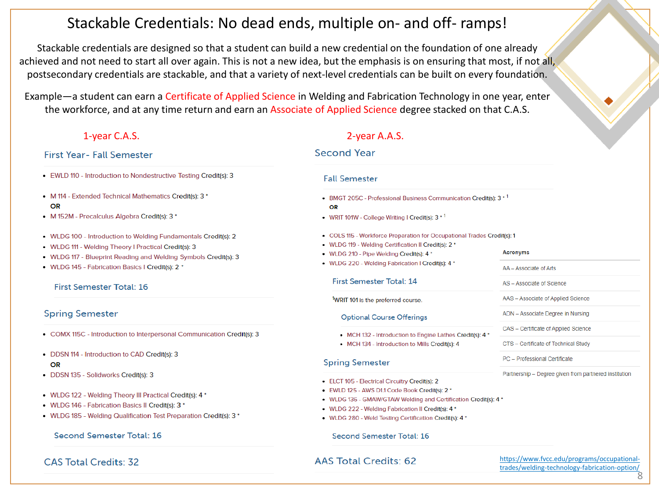## Stackable Credentials: No dead ends, multiple on- and off- ramps!

Stackable credentials are designed so that a student can build a new credential on the foundation of one already achieved and not need to start all over again. This is not a new idea, but the emphasis is on ensuring that most, if not all, postsecondary credentials are stackable, and that a variety of next-level credentials can be built on every foundation.

Example—a student can earn a Certificate of Applied Science in Welding and Fabrication Technology in one year, enter the workforce, and at any time return and earn an Associate of Applied Science degree stacked on that C.A.S.

## **First Year- Fall Semester**

- . EWLD 110 Introduction to Nondestructive Testing Credit(s): 3
- M 114 Extended Technical Mathematics Credit(s): 3 \* OR
- M 152M Precalculus Algebra Credit(s): 3 \*
- . WLDG 100 Introduction to Welding Fundamentals Credit(s): 2
- WLDG 111 Welding Theory I Practical Credit(s): 3
- WLDG 117 Blueprint Reading and Welding Symbols Credit(s): 3
- WLDG 145 Fabrication Basics I Credit(s): 2 \*

## **First Semester Total: 16**

## **Spring Semester**

- COMX 115C Introduction to Interpersonal Communication Credit(s): 3
- DDSN 114 Introduction to CAD Credit(s): 3

### OR

- · DDSN 135 Solidworks Credit(s): 3
- WLDG 122 Welding Theory III Practical Credit(s): 4 \*
- WLDG 146 Fabrication Basics II Credit(s): 3 \*
- WLDG 185 Welding Qualification Test Preparation Credit(s): 3 \*

## Second Semester Total: 16

CAS Total Credits: 32

## 1-year C.A.S. 2-year A.A.S.

## **Second Year**

### **Fall Semester**

- BMGT 205C Professional Business Communication Credit(s): 3 \* 1 OR
- WRIT 101W College Writing I Credit(s):  $3 * 1$
- COLS 115 Workforce Preparation for Occupational Trades Credit(s): 1
- WLDG 119 Welding Certification II Credit(s): 2 \*
- WLDG 210 Pipe Welding Credit(s): 4 \*
- WLDG 220 Welding Fabrication I Credit(s): 4 \*

### First Semester Total: 14

<sup>1</sup>WRIT 101 is the preferred course.

**Optional Course Offerings** 

- MCH 132 Introduction to Engine Lathes Credit(s): 4 \*
- MCH 134 Introduction to Mills Credit(s): 4

### **Spring Semester**

- ELCT 105 Electrical Circuitry Credit(s): 2
- EWLD 125 AWS D1.1 Code Book Credit(s): 2 \*
- . WLDG 136 GMAW/GTAW Welding and Certification Credit(s): 4 \*
- WLDG 222 Welding Fabrication II Credit(s): 4 \*
- WLDG 280 Weld Testing Certification Credit(s): 4 \*

### Second Semester Total: 16

## **AAS Total Credits: 62**

[https://www.fvcc.edu/programs/occupational](https://www.fvcc.edu/programs/occupational-trades/welding-technology-fabrication-option/)trades/welding-technology-fabrication-option/

8

- AS Associate of Science
- AAS Associate of Applied Science

**Acronyms** 

AA - Associate of Arts

- ADN Associate Degree in Nursing
- CAS Certificate of Applied Science
- CTS Certificate of Technical Study
- PC Professional Certificate

Partnership - Degree given from partnered institution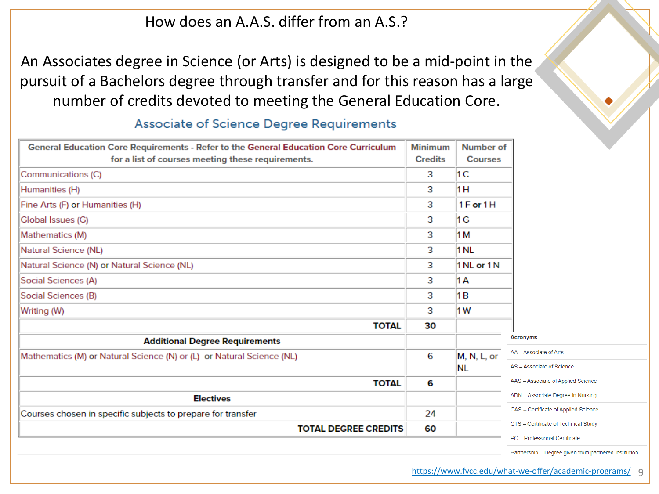## How does an A.A.S. differ from an A.S.?

An Associates degree in Science (or Arts) is designed to be a mid-point in the pursuit of a Bachelors degree through transfer and for this reason has a large number of credits devoted to meeting the General Education Core.

| General Education Core Requirements - Refer to the General Education Core Curriculum | <b>Minimum</b> | Number of      |                                      |
|--------------------------------------------------------------------------------------|----------------|----------------|--------------------------------------|
| for a list of courses meeting these requirements.                                    | <b>Credits</b> | <b>Courses</b> |                                      |
| Communications (C)                                                                   | 3              | 1 <sup>C</sup> |                                      |
| Humanities (H)                                                                       | 3              | 1 H            |                                      |
| Fine Arts (F) or Humanities (H)                                                      | 3              | 1F or 1H       |                                      |
| Global Issues (G)                                                                    | 3              | 1 G            |                                      |
| Mathematics (M)                                                                      | 3              | 1 M            |                                      |
| Natural Science (NL)                                                                 | 3              | 1 NL           |                                      |
| Natural Science (N) or Natural Science (NL)                                          | 3              | 1 NL or 1 N    |                                      |
| Social Sciences (A)                                                                  | 3              | 1 A            |                                      |
| Social Sciences (B)                                                                  | 3              | 1 B            |                                      |
| Writing (W)                                                                          | 3              | 1 <sub>W</sub> |                                      |
| <b>TOTAL</b>                                                                         | 30             |                |                                      |
| <b>Additional Degree Requirements</b>                                                |                |                | <b>Acronyms</b>                      |
| Mathematics (M) or Natural Science (N) or (L) or Natural Science (NL)                | 6              | M, N, L, or    | AA - Associate of Arts               |
|                                                                                      |                | NL             | AS - Associate of Science            |
| <b>TOTAL</b>                                                                         | 6              |                | AAS - Associate of Applied Science   |
| <b>Electives</b>                                                                     |                |                | ADN - Associate Degree in Nursing    |
| Courses chosen in specific subjects to prepare for transfer                          | 24             |                | CAS - Certificate of Applied Science |
| <b>TOTAL DEGREE CREDITS</b>                                                          | 60             |                | CTS - Certificate of Technical Study |
|                                                                                      |                |                | PC - Professional Certificate        |

## Associate of Science Degree Requirements

Partnership - Degree given from partnered institution